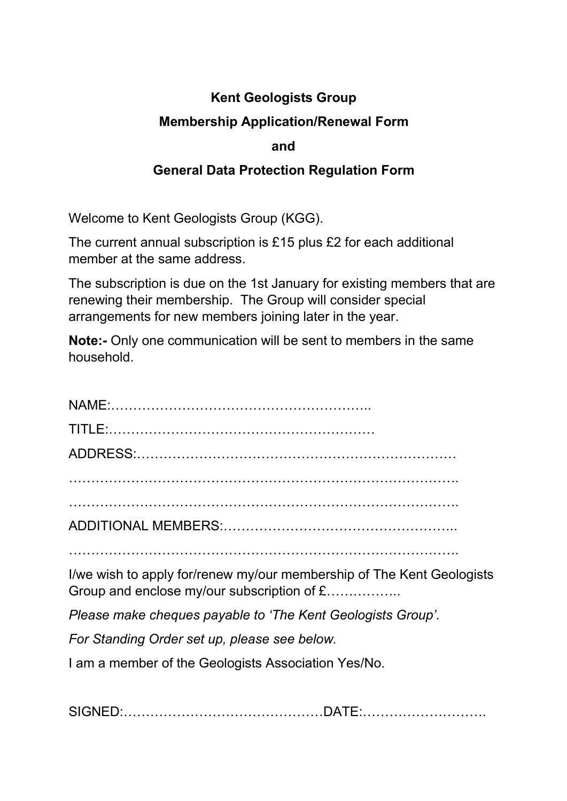# **Kent Geologists Group**

### **Membership Application/Renewal Form**

#### **and**

### **General Data Protection Regulation Form**

Welcome to Kent Geologists Group (KGG).

The current annual subscription is £15 plus £2 for each additional member at the same address.

The subscription is due on the 1st January for existing members that are renewing their membership. The Group will consider special arrangements for new members joining later in the year.

**Note:-** Only one communication will be sent to members in the same household.

| I/we wish to apply for/renew my/our membership of The Kent Geologists<br>Group and enclose my/our subscription of £ |
|---------------------------------------------------------------------------------------------------------------------|
| Please make cheques payable to 'The Kent Geologists Group'.                                                         |
| For Standing Order set up, please see below.                                                                        |
|                                                                                                                     |

I am a member of the Geologists Association Yes/No.

SIGNED:………………………………………DATE:……………………….